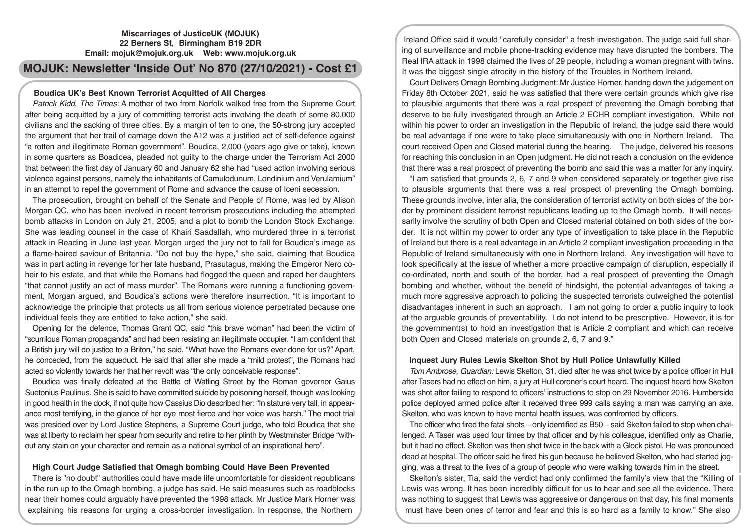## **Miscarriages of JusticeUK (MOJUK) 22 Berners St, Birmingham B19 2DR Email: mojuk@mojuk.org.uk Web: www.mojuk.org.uk**

# **MOJUK: Newsletter 'Inside Out' No 870 (27/10/2021) - Cost £1**

# **Boudica UK's Best Known Terrorist Acquitted of All Charges**

*Patrick Kidd, The Times:* A mother of two from Norfolk walked free from the Supreme Court after being acquitted by a jury of committing terrorist acts involving the death of some 80,000 civilians and the sacking of three cities. By a margin of ten to one, the 50-strong jury accepted the argument that her trail of carnage down the A12 was a justified act of self-defence against "a rotten and illegitimate Roman government". Boudica, 2,000 (years ago give or take), known in some quarters as Boadicea, pleaded not guilty to the charge under the Terrorism Act 2000 that between the first day of January 60 and January 62 she had "used action involving serious violence against persons, namely the inhabitants of Camulodunum, Londinium and Verulamium" in an attempt to repel the government of Rome and advance the cause of Iceni secession.

The prosecution, brought on behalf of the Senate and People of Rome, was led by Alison Morgan QC, who has been involved in recent terrorism prosecutions including the attempted bomb attacks in London on July 21, 2005, and a plot to bomb the London Stock Exchange. She was leading counsel in the case of Khairi Saadallah, who murdered three in a terrorist attack in Reading in June last year. Morgan urged the jury not to fall for Boudica's image as a flame-haired saviour of Britannia. "Do not buy the hype," she said, claiming that Boudica was in part acting in revenge for her late husband, Prasutagus, making the Emperor Nero coheir to his estate, and that while the Romans had flogged the queen and raped her daughters "that cannot justify an act of mass murder". The Romans were running a functioning government, Morgan argued, and Boudica's actions were therefore insurrection. "It is important to acknowledge the principle that protects us all from serious violence perpetrated because one individual feels they are entitled to take action," she said.

Opening for the defence, Thomas Grant QC, said "this brave woman" had been the victim of "scurrilous Roman propaganda" and had been resisting an illegitimate occupier. "I am confident that a British jury will do justice to a Briton," he said. "What have the Romans ever done for us?" Apart, he conceded, from the aqueduct. He said that after she made a "mild protest", the Romans had acted so violently towards her that her revolt was "the only conceivable response".

Boudica was finally defeated at the Battle of Watling Street by the Roman governor Gaius Suetonius Paulinus. She is said to have committed suicide by poisoning herself, though was looking in good health in the dock, if not quite how Cassius Dio described her: "In stature very tall, in appearance most terrifying, in the glance of her eye most fierce and her voice was harsh." The moot trial was presided over by Lord Justice Stephens, a Supreme Court judge, who told Boudica that she was at liberty to reclaim her spear from security and retire to her plinth by Westminster Bridge "without any stain on your character and remain as a national symbol of an inspirational hero".

# **High Court Judge Satisfied that Omagh bombing Could Have Been Prevented**

There is "no doubt" authorities could have made life uncomfortable for dissident republicans in the run up to the Omagh bombing, a judge has said. He said measures such as roadblocks near their homes could arguably have prevented the 1998 attack. Mr Justice Mark Horner was explaining his reasons for urging a cross-border investigation. In response, the Northern

Ireland Office said it would "carefully consider" a fresh investigation. The judge said full sharing of surveillance and mobile phone-tracking evidence may have disrupted the bombers. The Real IRA attack in 1998 claimed the lives of 29 people, including a woman pregnant with twins. It was the biggest single atrocity in the history of the Troubles in Northern Ireland.

Court Delivers Omagh Bombing Judgment: Mr Justice Horner, handng down the judgement on Friday 8th October 2021, said he was satisfied that there were certain grounds which give rise to plausible arguments that there was a real prospect of preventing the Omagh bombing that deserve to be fully investigated through an Article 2 ECHR compliant investigation. While not within his power to order an investigation in the Republic of Ireland, the judge said there would be real advantage if one were to take place simultaneously with one in Northern Ireland. The court received Open and Closed material during the hearing. The judge, delivered his reasons for reaching this conclusion in an Open judgment. He did not reach a conclusion on the evidence that there was a real prospect of preventing the bomb and said this was a matter for any inquiry.

"I am satisfied that grounds 2, 6, 7 and 9 when considered separately or together give rise to plausible arguments that there was a real prospect of preventing the Omagh bombing. These grounds involve, inter alia, the consideration of terrorist activity on both sides of the border by prominent dissident terrorist republicans leading up to the Omagh bomb. It will necessarily involve the scrutiny of both Open and Closed material obtained on both sides of the border. It is not within my power to order any type of investigation to take place in the Republic of Ireland but there is a real advantage in an Article 2 compliant investigation proceeding in the Republic of Ireland simultaneously with one in Northern Ireland. Any investigation will have to look specifically at the issue of whether a more proactive campaign of disruption, especially if co-ordinated, north and south of the border, had a real prospect of preventing the Omagh bombing and whether, without the benefit of hindsight, the potential advantages of taking a much more aggressive approach to policing the suspected terrorists outweighed the potential disadvantages inherent in such an approach. I am not going to order a public inquiry to look at the arguable grounds of preventability. I do not intend to be prescriptive. However, it is for the government(s) to hold an investigation that is Article 2 compliant and which can receive both Open and Closed materials on grounds 2, 6, 7 and 9."

## **Inquest Jury Rules Lewis Skelton Shot by Hull Police Unlawfully Killed**

*Tom Ambrose, Guardian:* Lewis Skelton, 31, died after he was shot twice by a police officer in Hull after Tasers had no effect on him, a jury at Hull coroner's court heard. The inquest heard how Skelton was shot after failing to respond to officers' instructions to stop on 29 November 2016. Humberside police deployed armed police after it received three 999 calls saying a man was carrying an axe. Skelton, who was known to have mental health issues, was confronted by officers.

The officer who fired the fatal shots – only identified as B50 – said Skelton failed to stop when challenged. A Taser was used four times by that officer and by his colleague, identified only as Charlie, but it had no effect. Skelton was then shot twice in the back with a Glock pistol. He was pronounced dead at hospital. The officer said he fired his gun because he believed Skelton, who had started jogging, was a threat to the lives of a group of people who were walking towards him in the street.

Skelton's sister, Tia, said the verdict had only confirmed the family's view that the "Killing of Lewis was wrong. It has been incredibly difficult for us to hear and see all the evidence. There was nothing to suggest that Lewis was aggressive or dangerous on that day, his final moments must have been ones of terror and fear and this is so hard as a family to know." She also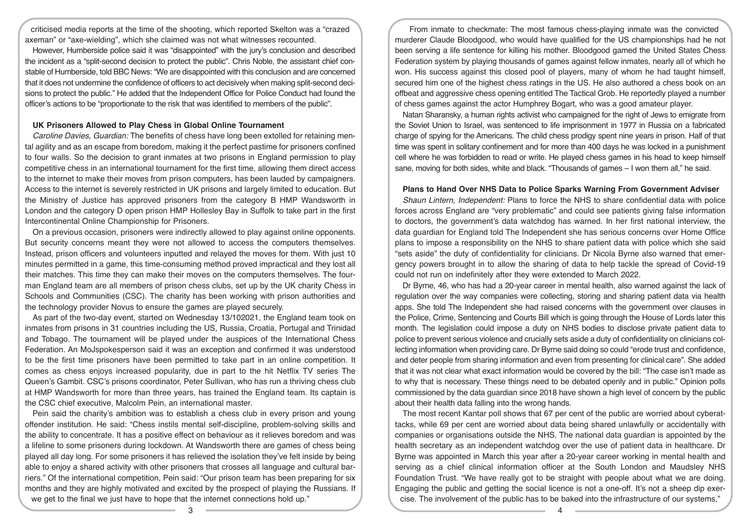criticised media reports at the time of the shooting, which reported Skelton was a "crazed axeman" or "axe-wielding", which she claimed was not what witnesses recounted.

However, Humberside police said it was "disappointed" with the jury's conclusion and described the incident as a "split-second decision to protect the public". Chris Noble, the assistant chief constable of Humberside, told BBC News: "We are disappointed with this conclusion and are concerned that it does not undermine the confidence of officers to act decisively when making split-second decisions to protect the public." He added that the Independent Office for Police Conduct had found the officer's actions to be "proportionate to the risk that was identified to members of the public".

#### **UK Prisoners Allowed to Play Chess in Global Online Tournament**

*Caroline Davies, Guardian:* The benefits of chess have long been extolled for retaining mental agility and as an escape from boredom, making it the perfect pastime for prisoners confined to four walls. So the decision to grant inmates at two prisons in England permission to play competitive chess in an international tournament for the first time, allowing them direct access to the internet to make their moves from prison computers, has been lauded by campaigners. Access to the internet is severely restricted in UK prisons and largely limited to education. But the Ministry of Justice has approved prisoners from the category B HMP Wandsworth in London and the category D open prison HMP Hollesley Bay in Suffolk to take part in the first Intercontinental Online Championship for Prisoners.

On a previous occasion, prisoners were indirectly allowed to play against online opponents. But security concerns meant they were not allowed to access the computers themselves. Instead, prison officers and volunteers inputted and relayed the moves for them. With just 10 minutes permitted in a game, this time-consuming method proved impractical and they lost all their matches. This time they can make their moves on the computers themselves. The fourman England team are all members of prison chess clubs, set up by the UK charity Chess in Schools and Communities (CSC). The charity has been working with prison authorities and the technology provider Novus to ensure the games are played securely.

As part of the two-day event, started on Wednesday 13/102021, the England team took on inmates from prisons in 31 countries including the US, Russia, Croatia, Portugal and Trinidad and Tobago. The tournament will be played under the auspices of the International Chess Federation. An MoJspokesperson said it was an exception and confirmed it was understood to be the first time prisoners have been permitted to take part in an online competition. It comes as chess enjoys increased popularity, due in part to the hit Netflix TV series The Queen's Gambit. CSC's prisons coordinator, Peter Sullivan, who has run a thriving chess club at HMP Wandsworth for more than three years, has trained the England team. Its captain is the CSC chief executive, Malcolm Pein, an international master.

Pein said the charity's ambition was to establish a chess club in every prison and young offender institution. He said: "Chess instils mental self-discipline, problem-solving skills and the ability to concentrate. It has a positive effect on behaviour as it relieves boredom and was a lifeline to some prisoners during lockdown. At Wandsworth there are games of chess being played all day long. For some prisoners it has relieved the isolation they've felt inside by being able to enjoy a shared activity with other prisoners that crosses all language and cultural barriers." Of the international competition, Pein said: "Our prison team has been preparing for six months and they are highly motivated and excited by the prospect of playing the Russians. If we get to the final we just have to hope that the internet connections hold up."

From inmate to checkmate: The most famous chess-playing inmate was the convicted murderer Claude Bloodgood, who would have qualified for the US championships had he not been serving a life sentence for killing his mother. Bloodgood gamed the United States Chess Federation system by playing thousands of games against fellow inmates, nearly all of which he won. His success against this closed pool of players, many of whom he had taught himself, secured him one of the highest chess ratings in the US. He also authored a chess book on an offbeat and aggressive chess opening entitled The Tactical Grob. He reportedly played a number of chess games against the actor Humphrey Bogart, who was a good amateur player.

Natan Sharansky, a human rights activist who campaigned for the right of Jews to emigrate from the Soviet Union to Israel, was sentenced to life imprisonment in 1977 in Russia on a fabricated charge of spying for the Americans. The child chess prodigy spent nine years in prison. Half of that time was spent in solitary confinement and for more than 400 days he was locked in a punishment cell where he was forbidden to read or write. He played chess games in his head to keep himself sane, moving for both sides, white and black. "Thousands of games – I won them all," he said.

#### **Plans to Hand Over NHS Data to Police Sparks Warning From Government Adviser**

*Shaun Lintern, Independent:* Plans to force the NHS to share confidential data with police forces across England are "very problematic" and could see patients giving false information to doctors, the government's data watchdog has warned. In her first national interview, the data guardian for England told The Independent she has serious concerns over Home Office plans to impose a responsibility on the NHS to share patient data with police which she said "sets aside" the duty of confidentiality for clinicians. Dr Nicola Byrne also warned that emergency powers brought in to allow the sharing of data to help tackle the spread of Covid-19 could not run on indefinitely after they were extended to March 2022.

Dr Byrne, 46, who has had a 20-year career in mental health, also warned against the lack of regulation over the way companies were collecting, storing and sharing patient data via health apps. She told The Independent she had raised concerns with the government over clauses in the Police, Crime, Sentencing and Courts Bill which is going through the House of Lords later this month. The legislation could impose a duty on NHS bodies to disclose private patient data to police to prevent serious violence and crucially sets aside a duty of confidentiality on clinicians collecting information when providing care. Dr Byrne said doing so could "erode trust and confidence, and deter people from sharing information and even from presenting for clinical care". She added that it was not clear what exact information would be covered by the bill: "The case isn't made as to why that is necessary. These things need to be debated openly and in public." Opinion polls commissioned by the data guardian since 2018 have shown a high level of concern by the public about their health data falling into the wrong hands.

The most recent Kantar poll shows that 67 per cent of the public are worried about cyberattacks, while 69 per cent are worried about data being shared unlawfully or accidentally with companies or organisations outside the NHS. The national data guardian is appointed by the health secretary as an independent watchdog over the use of patient data in healthcare. Dr Byrne was appointed in March this year after a 20-year career working in mental health and serving as a chief clinical information officer at the South London and Maudsley NHS Foundation Trust. "We have really got to be straight with people about what we are doing. Engaging the public and getting the social licence is not a one-off. It's not a sheep dip exercise. The involvement of the public has to be baked into the infrastructure of our systems,"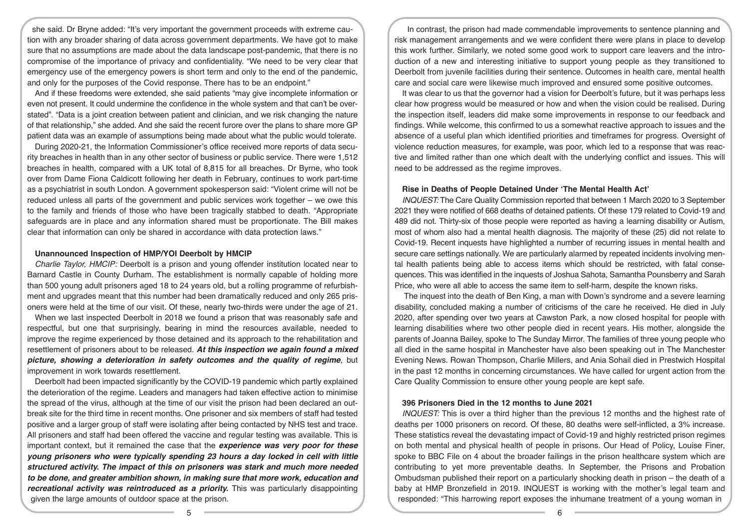she said. Dr Bryne added: "It's very important the government proceeds with extreme caution with any broader sharing of data across government departments. We have got to make sure that no assumptions are made about the data landscape post-pandemic, that there is no compromise of the importance of privacy and confidentiality. "We need to be very clear that emergency use of the emergency powers is short term and only to the end of the pandemic, and only for the purposes of the Covid response. There has to be an endpoint."

And if these freedoms were extended, she said patients "may give incomplete information or even not present. It could undermine the confidence in the whole system and that can't be overstated". "Data is a joint creation between patient and clinician, and we risk changing the nature of that relationship," she added. And she said the recent furore over the plans to share more GP patient data was an example of assumptions being made about what the public would tolerate.

During 2020-21, the Information Commissioner's office received more reports of data security breaches in health than in any other sector of business or public service. There were 1,512 breaches in health, compared with a UK total of 8,815 for all breaches. Dr Byrne, who took over from Dame Fiona Caldicott following her death in February, continues to work part-time as a psychiatrist in south London. A government spokesperson said: "Violent crime will not be reduced unless all parts of the government and public services work together – we owe this to the family and friends of those who have been tragically stabbed to death. "Appropriate safeguards are in place and any information shared must be proportionate. The Bill makes clear that information can only be shared in accordance with data protection laws."

# **Unannounced Inspection of HMP/YOI Deerbolt by HMCIP**

*Charlie Taylor, HMCIP:* Deerbolt is a prison and young offender institution located near to Barnard Castle in County Durham. The establishment is normally capable of holding more than 500 young adult prisoners aged 18 to 24 years old, but a rolling programme of refurbishment and upgrades meant that this number had been dramatically reduced and only 265 prisoners were held at the time of our visit. Of these, nearly two-thirds were under the age of 21.

When we last inspected Deerbolt in 2018 we found a prison that was reasonably safe and respectful, but one that surprisingly, bearing in mind the resources available, needed to improve the regime experienced by those detained and its approach to the rehabilitation and resettlement of prisoners about to be released. *At this inspection we again found a mixed picture, showing a deterioration in safety outcomes and the quality of regime*, but improvement in work towards resettlement.

Deerbolt had been impacted significantly by the COVID-19 pandemic which partly explained the deterioration of the regime. Leaders and managers had taken effective action to minimise the spread of the virus, although at the time of our visit the prison had been declared an outbreak site for the third time in recent months. One prisoner and six members of staff had tested positive and a larger group of staff were isolating after being contacted by NHS test and trace. All prisoners and staff had been offered the vaccine and regular testing was available. This is important context, but it remained the case that the *experience was very poor for these young prisoners who were typically spending 23 hours a day locked in cell with little structured activity. The impact of this on prisoners was stark and much more needed to be done, and greater ambition shown, in making sure that more work, education and recreational activity was reintroduced as a priority.* This was particularly disappointing given the large amounts of outdoor space at the prison.

In contrast, the prison had made commendable improvements to sentence planning and risk management arrangements and we were confident there were plans in place to develop this work further. Similarly, we noted some good work to support care leavers and the introduction of a new and interesting initiative to support young people as they transitioned to Deerbolt from juvenile facilities during their sentence. Outcomes in health care, mental health care and social care were likewise much improved and ensured some positive outcomes.

It was clear to us that the governor had a vision for Deerbolt's future, but it was perhaps less clear how progress would be measured or how and when the vision could be realised. During the inspection itself, leaders did make some improvements in response to our feedback and findings. While welcome, this confirmed to us a somewhat reactive approach to issues and the absence of a useful plan which identified priorities and timeframes for progress. Oversight of violence reduction measures, for example, was poor, which led to a response that was reactive and limited rather than one which dealt with the underlying conflict and issues. This will need to be addressed as the regime improves.

#### **Rise in Deaths of People Detained Under 'The Mental Health Act'**

*INQUEST:* The Care Quality Commission reported that between 1 March 2020 to 3 September 2021 they were notified of 668 deaths of detained patients. Of these 179 related to Covid-19 and 489 did not. Thirty-six of those people were reported as having a learning disability or Autism, most of whom also had a mental health diagnosis. The majority of these (25) did not relate to Covid-19. Recent inquests have highlighted a number of recurring issues in mental health and secure care settings nationally. We are particularly alarmed by repeated incidents involving mental health patients being able to access items which should be restricted, with fatal consequences. This was identified in the inquests of Joshua Sahota, Samantha Pounsberry and Sarah Price, who were all able to access the same item to self-harm, despite the known risks.

 The inquest into the death of Ben King, a man with Down's syndrome and a severe learning disability, concluded making a number of criticisms of the care he received. He died in July 2020, after spending over two years at Cawston Park, a now closed hospital for people with learning disabilities where two other people died in recent years. His mother, alongside the parents of Joanna Bailey, spoke to The Sunday Mirror. The families of three young people who all died in the same hospital in Manchester have also been speaking out in The Manchester Evening News. Rowan Thompson, Charlie Millers, and Ania Sohail died in Prestwich Hospital in the past 12 months in concerning circumstances. We have called for urgent action from the Care Quality Commission to ensure other young people are kept safe.

## **396 Prisoners Died in the 12 months to June 2021**

*INQUEST:* This is over a third higher than the previous 12 months and the highest rate of deaths per 1000 prisoners on record. Of these, 80 deaths were self-inflicted, a 3% increase. These statistics reveal the devastating impact of Covid-19 and highly restricted prison regimes on both mental and physical health of people in prisons. Our Head of Policy, Louise Finer, spoke to BBC File on 4 about the broader failings in the prison healthcare system which are contributing to yet more preventable deaths. In September, the Prisons and Probation Ombudsman published their report on a particularly shocking death in prison – the death of a baby at HMP Bronzefield in 2019. INQUEST is working with the mother's legal team and responded: "This harrowing report exposes the inhumane treatment of a young woman in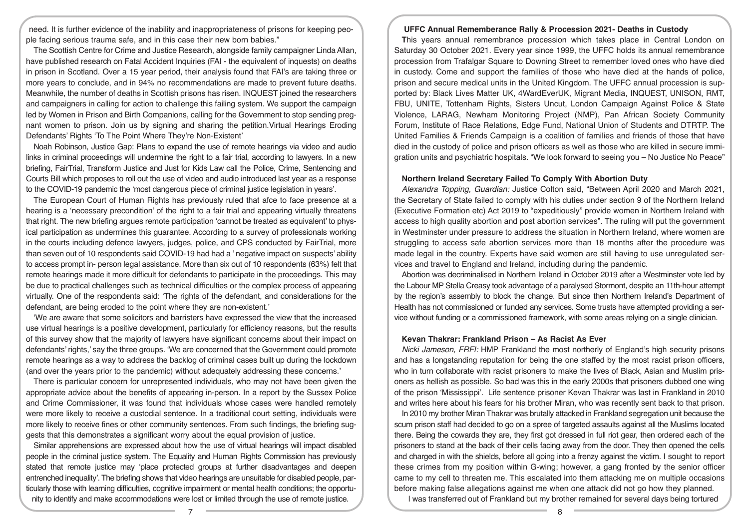need. It is further evidence of the inability and inappropriateness of prisons for keeping people facing serious trauma safe, and in this case their new born babies."

The Scottish Centre for Crime and Justice Research, alongside family campaigner Linda Allan, have published research on Fatal Accident Inquiries (FAI - the equivalent of inquests) on deaths in prison in Scotland. Over a 15 year period, their analysis found that FAI's are taking three or more years to conclude, and in 94% no recommendations are made to prevent future deaths. Meanwhile, the number of deaths in Scottish prisons has risen. INQUEST joined the researchers and campaigners in calling for action to challenge this failing system. We support the campaign led by Women in Prison and Birth Companions, calling for the Government to stop sending pregnant women to prison. Join us by signing and sharing the petition.Virtual Hearings Eroding Defendants' Rights 'To The Point Where They're Non-Existent'

Noah Robinson, Justice Gap: Plans to expand the use of remote hearings via video and audio links in criminal proceedings will undermine the right to a fair trial, according to lawyers. In a new briefing, FairTrial, Transform Justice and Just for Kids Law call the Police, Crime, Sentencing and Courts Bill which proposes to roll out the use of video and audio introduced last year as a response to the COVID-19 pandemic the 'most dangerous piece of criminal justice legislation in years'.

The European Court of Human Rights has previously ruled that afce to face presence at a hearing is a 'necessary precondition' of the right to a fair trial and appearing virtually threatens that right. The new briefing argues remote participation 'cannot be treated as equivalent' to physical participation as undermines this guarantee. According to a survey of professionals working in the courts including defence lawyers, judges, police, and CPS conducted by FairTrial, more than seven out of 10 respondents said COVID-19 had had a ' negative impact on suspects' ability to access prompt in- person legal assistance. More than six out of 10 respondents (63%) felt that remote hearings made it more difficult for defendants to participate in the proceedings. This may be due to practical challenges such as technical difficulties or the complex process of appearing virtually. One of the respondents said: 'The rights of the defendant, and considerations for the defendant, are being eroded to the point where they are non-existent.'

'We are aware that some solicitors and barristers have expressed the view that the increased use virtual hearings is a positive development, particularly for efficiency reasons, but the results of this survey show that the majority of lawyers have significant concerns about their impact on defendants' rights,' say the three groups. 'We are concerned that the Government could promote remote hearings as a way to address the backlog of criminal cases built up during the lockdown (and over the years prior to the pandemic) without adequately addressing these concerns.'

There is particular concern for unrepresented individuals, who may not have been given the appropriate advice about the benefits of appearing in-person. In a report by the Sussex Police and Crime Commissioner, it was found that individuals whose cases were handled remotely were more likely to receive a custodial sentence. In a traditional court setting, individuals were more likely to receive fines or other community sentences. From such findings, the briefing suggests that this demonstrates a significant worry about the equal provision of justice.

Similar apprehensions are expressed about how the use of virtual hearings will impact disabled people in the criminal justice system. The Equality and Human Rights Commission has previously stated that remote justice may 'place protected groups at further disadvantages and deepen entrenched inequality'. The briefing shows that video hearings are unsuitable for disabled people, particularly those with learning difficulties, cognitive impairment or mental health conditions; the opportunity to identify and make accommodations were lost or limited through the use of remote justice.

#### **UFFC Annual Rememberance Rally & Procession 2021- Deaths in Custody**

**T**his years annual remembrance procession which takes place in Central London on Saturday 30 October 2021. Every year since 1999, the UFFC holds its annual remembrance procession from Trafalgar Square to Downing Street to remember loved ones who have died in custody. Come and support the families of those who have died at the hands of police, prison and secure medical units in the United Kingdom. The UFFC annual procession is supported by: Black Lives Matter UK, 4WardEverUK, Migrant Media, INQUEST, UNISON, RMT, FBU, UNITE, Tottenham Rights, Sisters Uncut, London Campaign Against Police & State Violence, LARAG, Newham Monitoring Project (NMP), Pan African Society Community Forum, Institute of Race Relations, Edge Fund, National Union of Students and DTRTP. The United Families & Friends Campaign is a coalition of families and friends of those that have died in the custody of police and prison officers as well as those who are killed in secure immigration units and psychiatric hospitals. "We look forward to seeing you – No Justice No Peace"

#### **Northern Ireland Secretary Failed To Comply With Abortion Duty**

*Alexandra Topping, Guardian:* Justice Colton said, "Between April 2020 and March 2021, the Secretary of State failed to comply with his duties under section 9 of the Northern Ireland (Executive Formation etc) Act 2019 to "expeditiously" provide women in Northern Ireland with access to high quality abortion and post abortion services". The ruling will put the government in Westminster under pressure to address the situation in Northern Ireland, where women are struggling to access safe abortion services more than 18 months after the procedure was made legal in the country. Experts have said women are still having to use unregulated services and travel to England and Ireland, including during the pandemic.

Abortion was decriminalised in Northern Ireland in October 2019 after a Westminster vote led by the Labour MP Stella Creasy took advantage of a paralysed Stormont, despite an 11th-hour attempt by the region's assembly to block the change. But since then Northern Ireland's Department of Health has not commissioned or funded any services. Some trusts have attempted providing a service without funding or a commissioned framework, with some areas relying on a single clinician.

### **Kevan Thakrar: Frankland Prison – As Racist As Ever**

*Nicki Jameson, FRFI:* HMP Frankland the most northerly of England's high security prisons and has a longstanding reputation for being the one staffed by the most racist prison officers, who in turn collaborate with racist prisoners to make the lives of Black, Asian and Muslim prisoners as hellish as possible. So bad was this in the early 2000s that prisoners dubbed one wing of the prison 'Mississippi'. Life sentence prisoner Kevan Thakrar was last in Frankland in 2010 and writes here about his fears for his brother Miran, who was recently sent back to that prison.

In 2010 my brother Miran Thakrar was brutally attacked in Frankland segregation unit because the scum prison staff had decided to go on a spree of targeted assaults against all the Muslims located there. Being the cowards they are, they first got dressed in full riot gear, then ordered each of the prisoners to stand at the back of their cells facing away from the door. They then opened the cells and charged in with the shields, before all going into a frenzy against the victim. I sought to report these crimes from my position within G-wing; however, a gang fronted by the senior officer came to my cell to threaten me. This escalated into them attacking me on multiple occasions before making false allegations against me when one attack did not go how they planned. I was transferred out of Frankland but my brother remained for several days being tortured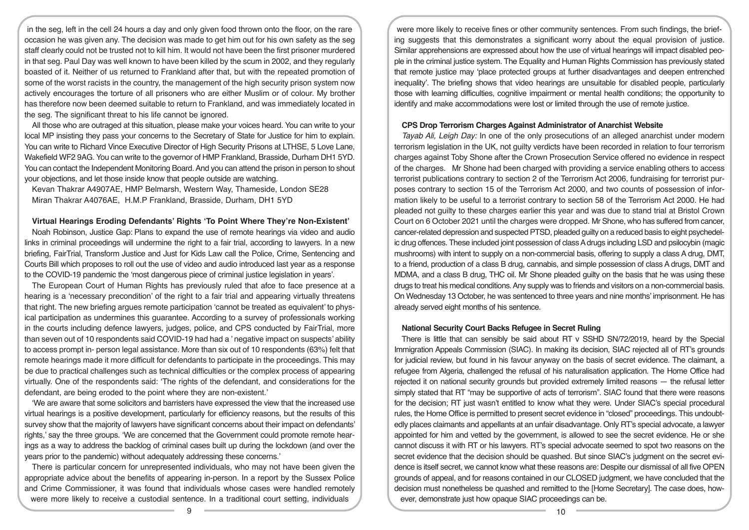in the seg, left in the cell 24 hours a day and only given food thrown onto the floor, on the rare occasion he was given any. The decision was made to get him out for his own safety as the seg staff clearly could not be trusted not to kill him. It would not have been the first prisoner murdered in that seg. Paul Day was well known to have been killed by the scum in 2002, and they regularly boasted of it. Neither of us returned to Frankland after that, but with the repeated promotion of some of the worst racists in the country, the management of the high security prison system now actively encourages the torture of all prisoners who are either Muslim or of colour. My brother has therefore now been deemed suitable to return to Frankland, and was immediately located in the seg. The significant threat to his life cannot be ignored.

All those who are outraged at this situation, please make your voices heard. You can write to your local MP insisting they pass your concerns to the Secretary of State for Justice for him to explain. You can write to Richard Vince Executive Director of High Security Prisons at LTHSE, 5 Love Lane, Wakefield WF2 9AG. You can write to the governor of HMP Frankland, Brasside, Durham DH1 5YD. You can contact the Independent Monitoring Board. And you can attend the prison in person to shout your objections, and let those inside know that people outside are watching.

Kevan Thakrar A4907AE, HMP Belmarsh, Western Way, Thameside, London SE28 Miran Thakrar A4076AE, H.M.P Frankland, Brasside, Durham, DH1 5YD

### **Virtual Hearings Eroding Defendants' Rights 'To Point Where They're Non-Existent'**

Noah Robinson, Justice Gap: Plans to expand the use of remote hearings via video and audio links in criminal proceedings will undermine the right to a fair trial, according to lawyers. In a new briefing, FairTrial, Transform Justice and Just for Kids Law call the Police, Crime, Sentencing and Courts Bill which proposes to roll out the use of video and audio introduced last year as a response to the COVID-19 pandemic the 'most dangerous piece of criminal justice legislation in years'.

The European Court of Human Rights has previously ruled that afce to face presence at a hearing is a 'necessary precondition' of the right to a fair trial and appearing virtually threatens that right. The new briefing argues remote participation 'cannot be treated as equivalent' to physical participation as undermines this guarantee. According to a survey of professionals working in the courts including defence lawyers, judges, police, and CPS conducted by FairTrial, more than seven out of 10 respondents said COVID-19 had had a ' negative impact on suspects' ability to access prompt in- person legal assistance. More than six out of 10 respondents (63%) felt that remote hearings made it more difficult for defendants to participate in the proceedings. This may be due to practical challenges such as technical difficulties or the complex process of appearing virtually. One of the respondents said: 'The rights of the defendant, and considerations for the defendant, are being eroded to the point where they are non-existent.'

'We are aware that some solicitors and barristers have expressed the view that the increased use virtual hearings is a positive development, particularly for efficiency reasons, but the results of this survey show that the majority of lawyers have significant concerns about their impact on defendants' rights,' say the three groups. 'We are concerned that the Government could promote remote hearings as a way to address the backlog of criminal cases built up during the lockdown (and over the years prior to the pandemic) without adequately addressing these concerns.'

There is particular concern for unrepresented individuals, who may not have been given the appropriate advice about the benefits of appearing in-person. In a report by the Sussex Police and Crime Commissioner, it was found that individuals whose cases were handled remotely were more likely to receive a custodial sentence. In a traditional court setting, individuals

were more likely to receive fines or other community sentences. From such findings, the briefing suggests that this demonstrates a significant worry about the equal provision of justice. Similar apprehensions are expressed about how the use of virtual hearings will impact disabled people in the criminal justice system. The Equality and Human Rights Commission has previously stated that remote justice may 'place protected groups at further disadvantages and deepen entrenched inequality'. The briefing shows that video hearings are unsuitable for disabled people, particularly those with learning difficulties, cognitive impairment or mental health conditions; the opportunity to identify and make accommodations were lost or limited through the use of remote justice.

# **CPS Drop Terrorism Charges Against Administrator of Anarchist Website**

*Tayab Ali, Leigh Day:* In one of the only prosecutions of an alleged anarchist under modern terrorism legislation in the UK, not guilty verdicts have been recorded in relation to four terrorism charges against Toby Shone after the Crown Prosecution Service offered no evidence in respect of the charges. Mr Shone had been charged with providing a service enabling others to access terrorist publications contrary to section 2 of the Terrorism Act 2006, fundraising for terrorist purposes contrary to section 15 of the Terrorism Act 2000, and two counts of possession of information likely to be useful to a terrorist contrary to section 58 of the Terrorism Act 2000. He had pleaded not guilty to these charges earlier this year and was due to stand trial at Bristol Crown Court on 6 October 2021 until the charges were dropped. Mr Shone, who has suffered from cancer, cancer-related depression and suspected PTSD, pleaded guilty on a reduced basis to eight psychedelic drug offences. These included joint possession of class A drugs including LSD and psilocybin (magic mushrooms) with intent to supply on a non-commercial basis, offering to supply a class A drug, DMT, to a friend, production of a class B drug, cannabis, and simple possession of class A drugs, DMT and MDMA, and a class B drug, THC oil. Mr Shone pleaded guilty on the basis that he was using these drugs to treat his medical conditions. Any supply was to friends and visitors on a non-commercial basis. On Wednesday 13 October, he was sentenced to three years and nine months' imprisonment. He has already served eight months of his sentence.

# **National Security Court Backs Refugee in Secret Ruling**

There is little that can sensibly be said about RT v SSHD SN/72/2019, heard by the Special Immigration Appeals Commission (SIAC). In making its decision, SIAC rejected all of RT's grounds for judicial review, but found in his favour anyway on the basis of secret evidence. The claimant, a refugee from Algeria, challenged the refusal of his naturalisation application. The Home Office had rejected it on national security grounds but provided extremely limited reasons — the refusal letter simply stated that RT "may be supportive of acts of terrorism". SIAC found that there were reasons for the decision; RT just wasn't entitled to know what they were. Under SIAC's special procedural rules, the Home Office is permitted to present secret evidence in "closed" proceedings. This undoubtedly places claimants and appellants at an unfair disadvantage. Only RT's special advocate, a lawyer appointed for him and vetted by the government, is allowed to see the secret evidence. He or she cannot discuss it with RT or his lawyers. RT's special advocate seemed to spot two reasons on the secret evidence that the decision should be quashed. But since SIAC's judgment on the secret evidence is itself secret, we cannot know what these reasons are: Despite our dismissal of all five OPEN grounds of appeal, and for reasons contained in our CLOSED judgment, we have concluded that the decision must nonetheless be quashed and remitted to the [Home Secretary]. The case does, however, demonstrate just how opaque SIAC proceedings can be.